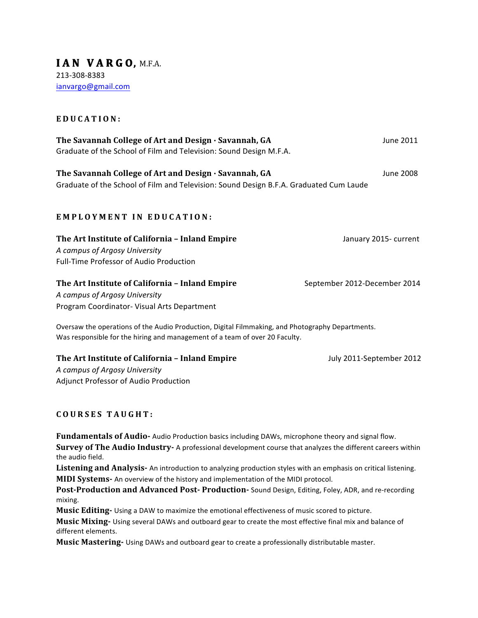#### **EDUCATION:**

| The Savannah College of Art and Design · Savannah, GA              | June 2011 |
|--------------------------------------------------------------------|-----------|
| Graduate of the School of Film and Television: Sound Design M.F.A. |           |

**The Savannah College of Art and Design ∙ Savannah, GA** June 2008 Graduate of the School of Film and Television: Sound Design B.F.A. Graduated Cum Laude

## **EMPLOYMENT IN EDUCATION :**

| The Art Institute of California - Inland Empire | January 2015- current |
|-------------------------------------------------|-----------------------|
| A campus of Argosy University                   |                       |
| Full-Time Professor of Audio Production         |                       |

# **The Art Institute of California - Inland Empire** September 2012-December 2014

*A campus of Argosy University* Program Coordinator- Visual Arts Department

Oversaw the operations of the Audio Production, Digital Filmmaking, and Photography Departments. Was responsible for the hiring and management of a team of over 20 Faculty.

## **The Art Institute of California – Inland Empire** July 2011-September 2012

*A campus of Argosy University* Adjunct Professor of Audio Production

# **COURSES TAUGHT:**

Fundamentals of Audio- Audio Production basics including DAWs, microphone theory and signal flow. **Survey of The Audio Industry-** A professional development course that analyzes the different careers within the audio field.

Listening and Analysis- An introduction to analyzing production styles with an emphasis on critical listening. **MIDI Systems-** An overview of the history and implementation of the MIDI protocol.

**Post-Production and Advanced Post- Production-** Sound Design, Editing, Foley, ADR, and re-recording mixing.

**Music Editing-** Using a DAW to maximize the emotional effectiveness of music scored to picture.

**Music Mixing-** Using several DAWs and outboard gear to create the most effective final mix and balance of different elements.

**Music Mastering-** Using DAWs and outboard gear to create a professionally distributable master.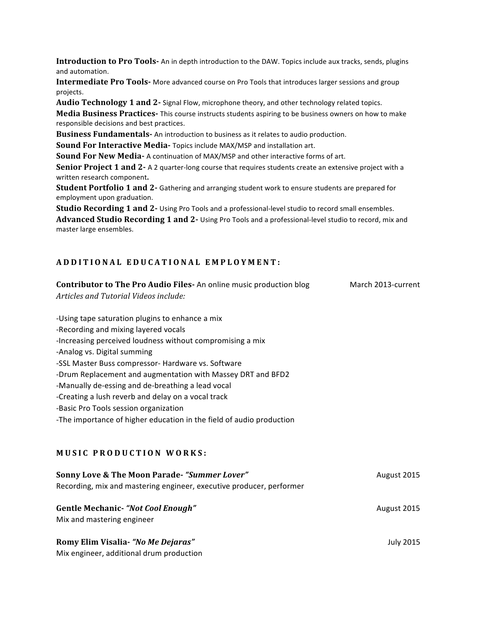**Introduction to Pro Tools-** An in depth introduction to the DAW. Topics include aux tracks, sends, plugins and automation.

**Intermediate Pro Tools-** More advanced course on Pro Tools that introduces larger sessions and group projects.

**Audio Technology 1 and 2-** Signal Flow, microphone theory, and other technology related topics.

**Media Business Practices-** This course instructs students aspiring to be business owners on how to make responsible decisions and best practices.

**Business Fundamentals-** An introduction to business as it relates to audio production.

**Sound For Interactive Media-** Topics include MAX/MSP and installation art.

**Sound For New Media-** A continuation of MAX/MSP and other interactive forms of art.

**Senior Project 1 and 2-** A 2 quarter-long course that requires students create an extensive project with a written research component.

**Student Portfolio 1 and 2-** Gathering and arranging student work to ensure students are prepared for employment upon graduation.

**Studio Recording 1 and 2-** Using Pro Tools and a professional-level studio to record small ensembles. Advanced Studio Recording 1 and 2- Using Pro Tools and a professional-level studio to record, mix and master large ensembles.

#### **ADDITIONAL E DUCATIONAL EMPLOYMENT:**

| <b>Contributor to The Pro Audio Files-An online music production blog</b> | March 2013-current |
|---------------------------------------------------------------------------|--------------------|
| Articles and Tutorial Videos include:                                     |                    |
|                                                                           |                    |
| -Using tape saturation plugins to enhance a mix                           |                    |
| -Recording and mixing layered vocals                                      |                    |
| -Increasing perceived loudness without compromising a mix                 |                    |
| -Analog vs. Digital summing                                               |                    |
| -SSL Master Buss compressor- Hardware vs. Software                        |                    |
| -Drum Replacement and augmentation with Massey DRT and BFD2               |                    |
| -Manually de-essing and de-breathing a lead vocal                         |                    |
| -Creating a lush reverb and delay on a vocal track                        |                    |
| -Basic Pro Tools session organization                                     |                    |
| -The importance of higher education in the field of audio production      |                    |
|                                                                           |                    |
|                                                                           |                    |
| <b>MUSIC PRODUCTION WORKS:</b>                                            |                    |
| Sonny Love & The Moon Parade-"Summer Lover"                               | August 2015        |
| Recording, mix and mastering engineer, executive producer, performer      |                    |
|                                                                           |                    |
| <b>Gentle Mechanic- "Not Cool Enough"</b>                                 | August 2015        |
| Mix and mastering engineer                                                |                    |
|                                                                           |                    |
| Romy Elim Visalia- "No Me Dejaras"                                        | <b>July 2015</b>   |
| Mix engineer, additional drum production                                  |                    |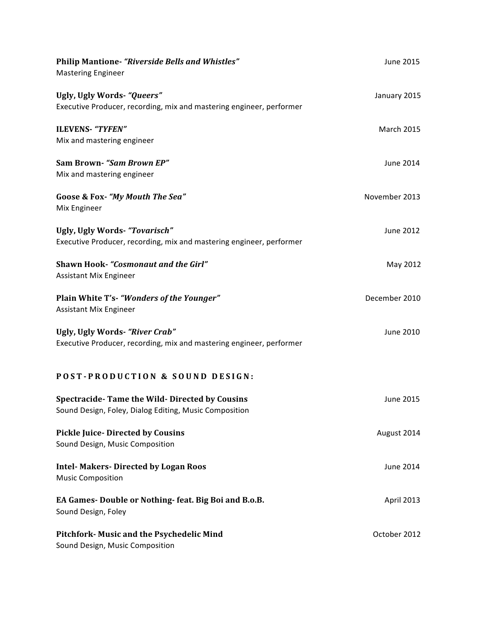| <b>Philip Mantione- "Riverside Bells and Whistles"</b><br><b>Mastering Engineer</b>                     | June 2015        |
|---------------------------------------------------------------------------------------------------------|------------------|
| Ugly, Ugly Words- "Queers"<br>Executive Producer, recording, mix and mastering engineer, performer      | January 2015     |
| <b>ILEVENS- "TYFEN"</b><br>Mix and mastering engineer                                                   | March 2015       |
| Sam Brown- "Sam Brown EP"<br>Mix and mastering engineer                                                 | <b>June 2014</b> |
| Goose & Fox- "My Mouth The Sea"<br>Mix Engineer                                                         | November 2013    |
| Ugly, Ugly Words- "Tovarisch"<br>Executive Producer, recording, mix and mastering engineer, performer   | June 2012        |
| <b>Shawn Hook-</b> "Cosmonaut and the Girl"<br><b>Assistant Mix Engineer</b>                            | May 2012         |
| Plain White T's- "Wonders of the Younger"<br><b>Assistant Mix Engineer</b>                              | December 2010    |
| Ugly, Ugly Words- "River Crab"<br>Executive Producer, recording, mix and mastering engineer, performer  | June 2010        |
| POST-PRODUCTION & SOUND DESIGN:                                                                         |                  |
| Spectracide-Tame the Wild-Directed by Cousins<br>Sound Design, Foley, Dialog Editing, Music Composition | June 2015        |
| <b>Pickle Juice-Directed by Cousins</b><br>Sound Design, Music Composition                              | August 2014      |
| <b>Intel-Makers-Directed by Logan Roos</b><br><b>Music Composition</b>                                  | June 2014        |
| EA Games-Double or Nothing-feat. Big Boi and B.o.B.<br>Sound Design, Foley                              | April 2013       |
| <b>Pitchfork- Music and the Psychedelic Mind</b><br>Sound Design, Music Composition                     | October 2012     |